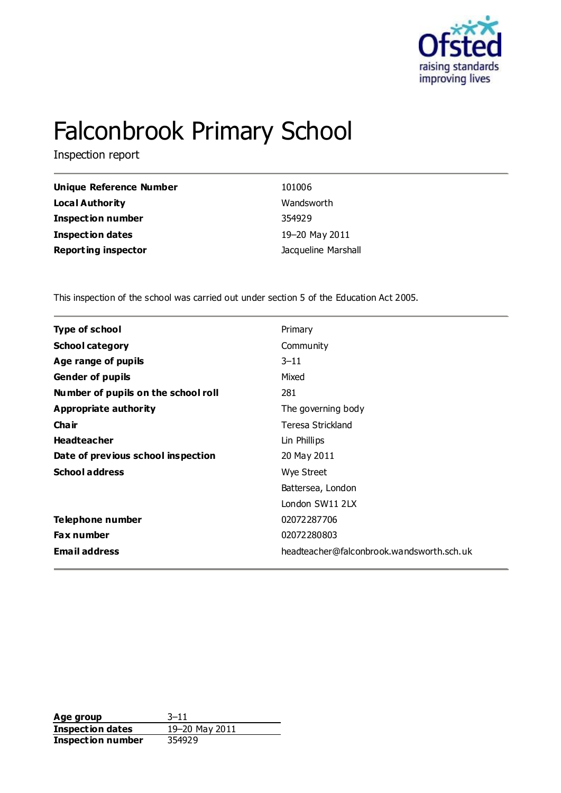

# Falconbrook Primary School

Inspection report

| Unique Reference Number    | 101006              |
|----------------------------|---------------------|
| Local Authority            | Wandsworth          |
| <b>Inspection number</b>   | 354929              |
| Inspection dates           | 19-20 May 2011      |
| <b>Reporting inspector</b> | Jacqueline Marshall |

This inspection of the school was carried out under section 5 of the Education Act 2005.

| <b>Type of school</b><br>Primary                                  |  |
|-------------------------------------------------------------------|--|
|                                                                   |  |
| <b>School category</b><br>Community                               |  |
| Age range of pupils<br>$3 - 11$                                   |  |
| Mixed<br><b>Gender of pupils</b>                                  |  |
| Number of pupils on the school roll<br>281                        |  |
| Appropriate authority<br>The governing body                       |  |
| Cha ir<br>Teresa Strickland                                       |  |
| <b>Headteacher</b><br>Lin Phillips                                |  |
| Date of previous school inspection<br>20 May 2011                 |  |
| <b>School address</b><br>Wye Street                               |  |
| Battersea, London                                                 |  |
| London SW11 2LX                                                   |  |
| Telephone number<br>02072287706                                   |  |
| 02072280803<br><b>Fax number</b>                                  |  |
| <b>Email address</b><br>headteacher@falconbrook.wandsworth.sch.uk |  |

**Age group** 3-11<br> **Inspection dates** 19-20 May 2011 **Inspection dates Inspection number** 354929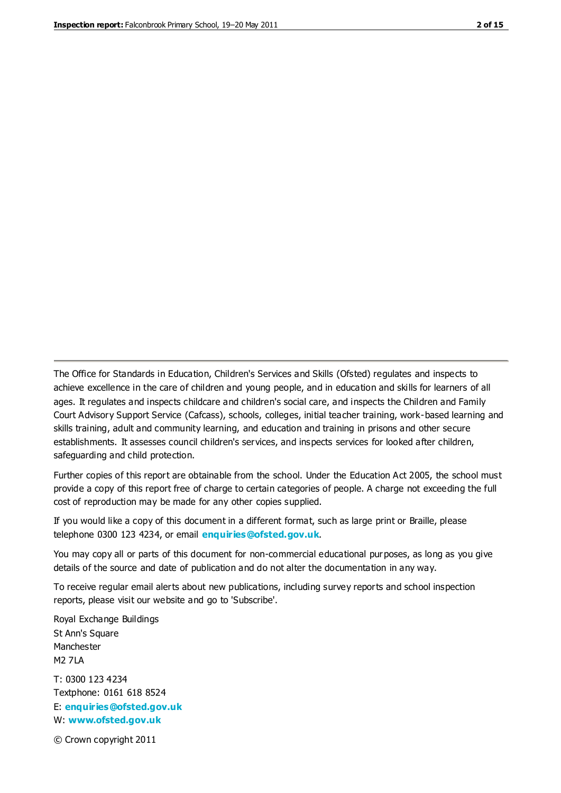The Office for Standards in Education, Children's Services and Skills (Ofsted) regulates and inspects to achieve excellence in the care of children and young people, and in education and skills for learners of all ages. It regulates and inspects childcare and children's social care, and inspects the Children and Family Court Advisory Support Service (Cafcass), schools, colleges, initial teacher training, work-based learning and skills training, adult and community learning, and education and training in prisons and other secure establishments. It assesses council children's services, and inspects services for looked after children, safeguarding and child protection.

Further copies of this report are obtainable from the school. Under the Education Act 2005, the school must provide a copy of this report free of charge to certain categories of people. A charge not exceeding the full cost of reproduction may be made for any other copies supplied.

If you would like a copy of this document in a different format, such as large print or Braille, please telephone 0300 123 4234, or email **[enquiries@ofsted.gov.uk](mailto:enquiries@ofsted.gov.uk)**.

You may copy all or parts of this document for non-commercial educational purposes, as long as you give details of the source and date of publication and do not alter the documentation in any way.

To receive regular email alerts about new publications, including survey reports and school inspection reports, please visit our website and go to 'Subscribe'.

Royal Exchange Buildings St Ann's Square Manchester M2 7LA T: 0300 123 4234 Textphone: 0161 618 8524 E: **[enquiries@ofsted.gov.uk](mailto:enquiries@ofsted.gov.uk)**

W: **[www.ofsted.gov.uk](http://www.ofsted.gov.uk/)**

© Crown copyright 2011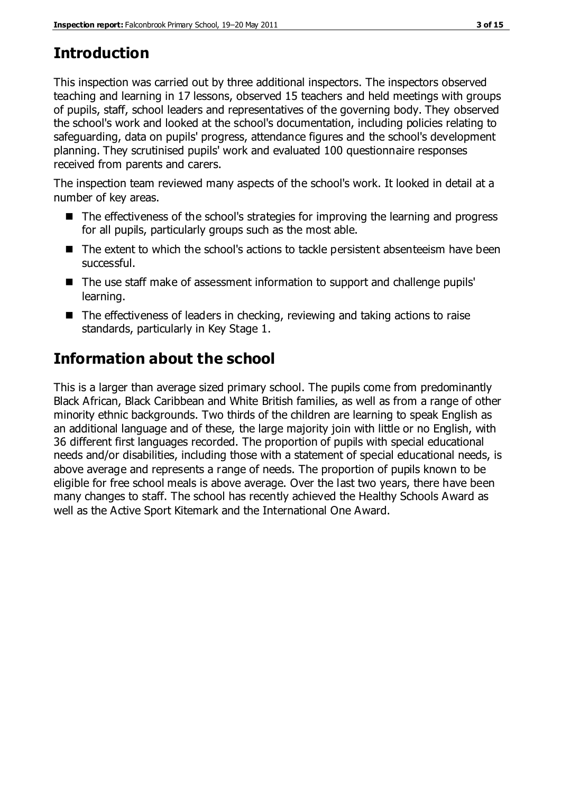# **Introduction**

This inspection was carried out by three additional inspectors. The inspectors observed teaching and learning in 17 lessons, observed 15 teachers and held meetings with groups of pupils, staff, school leaders and representatives of the governing body. They observed the school's work and looked at the school's documentation, including policies relating to safeguarding, data on pupils' progress, attendance figures and the school's development planning. They scrutinised pupils' work and evaluated 100 questionnaire responses received from parents and carers.

The inspection team reviewed many aspects of the school's work. It looked in detail at a number of key areas.

- The effectiveness of the school's strategies for improving the learning and progress for all pupils, particularly groups such as the most able.
- The extent to which the school's actions to tackle persistent absenteeism have been successful.
- The use staff make of assessment information to support and challenge pupils' learning.
- The effectiveness of leaders in checking, reviewing and taking actions to raise standards, particularly in Key Stage 1.

# **Information about the school**

This is a larger than average sized primary school. The pupils come from predominantly Black African, Black Caribbean and White British families, as well as from a range of other minority ethnic backgrounds. Two thirds of the children are learning to speak English as an additional language and of these, the large majority join with little or no English, with 36 different first languages recorded. The proportion of pupils with special educational needs and/or disabilities, including those with a statement of special educational needs, is above average and represents a range of needs. The proportion of pupils known to be eligible for free school meals is above average. Over the last two years, there have been many changes to staff. The school has recently achieved the Healthy Schools Award as well as the Active Sport Kitemark and the International One Award.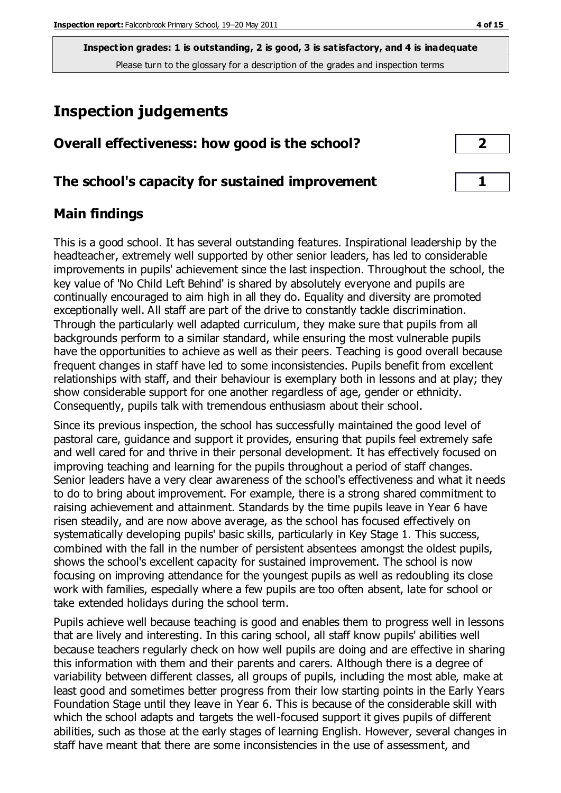# **Inspection judgements**

| Overall effectiveness: how good is the school?  |  |
|-------------------------------------------------|--|
| The school's capacity for sustained improvement |  |

# **Main findings**

This is a good school. It has several outstanding features. Inspirational leadership by the headteacher, extremely well supported by other senior leaders, has led to considerable improvements in pupils' achievement since the last inspection. Throughout the school, the key value of 'No Child Left Behind' is shared by absolutely everyone and pupils are continually encouraged to aim high in all they do. Equality and diversity are promoted exceptionally well. All staff are part of the drive to constantly tackle discrimination. Through the particularly well adapted curriculum, they make sure that pupils from all backgrounds perform to a similar standard, while ensuring the most vulnerable pupils have the opportunities to achieve as well as their peers. Teaching is good overall because frequent changes in staff have led to some inconsistencies. Pupils benefit from excellent relationships with staff, and their behaviour is exemplary both in lessons and at play; they show considerable support for one another regardless of age, gender or ethnicity. Consequently, pupils talk with tremendous enthusiasm about their school.

Since its previous inspection, the school has successfully maintained the good level of pastoral care, guidance and support it provides, ensuring that pupils feel extremely safe and well cared for and thrive in their personal development. It has effectively focused on improving teaching and learning for the pupils throughout a period of staff changes. Senior leaders have a very clear awareness of the school's effectiveness and what it needs to do to bring about improvement. For example, there is a strong shared commitment to raising achievement and attainment. Standards by the time pupils leave in Year 6 have risen steadily, and are now above average, as the school has focused effectively on systematically developing pupils' basic skills, particularly in Key Stage 1. This success, combined with the fall in the number of persistent absentees amongst the oldest pupils, shows the school's excellent capacity for sustained improvement. The school is now focusing on improving attendance for the youngest pupils as well as redoubling its close work with families, especially where a few pupils are too often absent, late for school or take extended holidays during the school term.

Pupils achieve well because teaching is good and enables them to progress well in lessons that are lively and interesting. In this caring school, all staff know pupils' abilities well because teachers regularly check on how well pupils are doing and are effective in sharing this information with them and their parents and carers. Although there is a degree of variability between different classes, all groups of pupils, including the most able, make at least good and sometimes better progress from their low starting points in the Early Years Foundation Stage until they leave in Year 6. This is because of the considerable skill with which the school adapts and targets the well-focused support it gives pupils of different abilities, such as those at the early stages of learning English. However, several changes in staff have meant that there are some inconsistencies in the use of assessment, and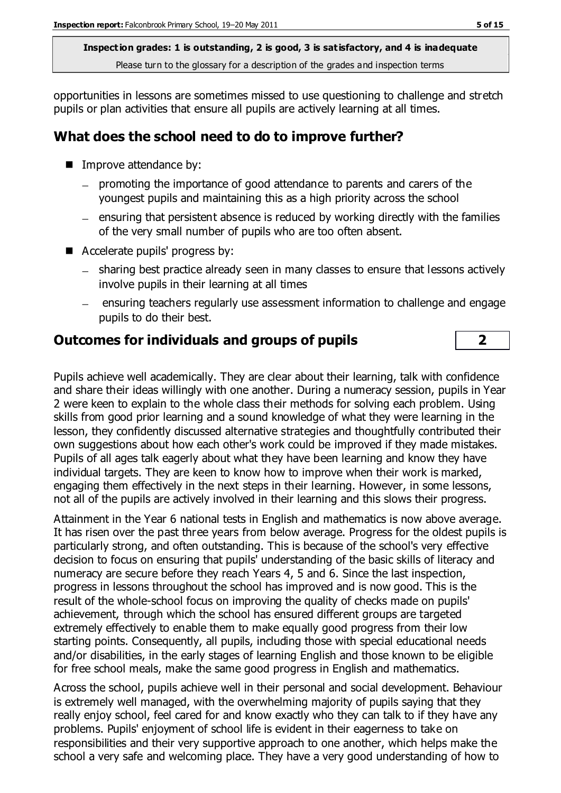opportunities in lessons are sometimes missed to use questioning to challenge and stretch pupils or plan activities that ensure all pupils are actively learning at all times.

# **What does the school need to do to improve further?**

- Improve attendance by:
	- promoting the importance of good attendance to parents and carers of the youngest pupils and maintaining this as a high priority across the school
	- $-$  ensuring that persistent absence is reduced by working directly with the families of the very small number of pupils who are too often absent.
- Accelerate pupils' progress by:
	- sharing best practice already seen in many classes to ensure that lessons actively involve pupils in their learning at all times
	- ensuring teachers regularly use assessment information to challenge and engage pupils to do their best.

# **Outcomes for individuals and groups of pupils 2**

Pupils achieve well academically. They are clear about their learning, talk with confidence and share their ideas willingly with one another. During a numeracy session, pupils in Year 2 were keen to explain to the whole class their methods for solving each problem. Using skills from good prior learning and a sound knowledge of what they were learning in the lesson, they confidently discussed alternative strategies and thoughtfully contributed their own suggestions about how each other's work could be improved if they made mistakes. Pupils of all ages talk eagerly about what they have been learning and know they have individual targets. They are keen to know how to improve when their work is marked, engaging them effectively in the next steps in their learning. However, in some lessons, not all of the pupils are actively involved in their learning and this slows their progress.

Attainment in the Year 6 national tests in English and mathematics is now above average. It has risen over the past three years from below average. Progress for the oldest pupils is particularly strong, and often outstanding. This is because of the school's very effective decision to focus on ensuring that pupils' understanding of the basic skills of literacy and numeracy are secure before they reach Years 4, 5 and 6. Since the last inspection, progress in lessons throughout the school has improved and is now good. This is the result of the whole-school focus on improving the quality of checks made on pupils' achievement, through which the school has ensured different groups are targeted extremely effectively to enable them to make equally good progress from their low starting points. Consequently, all pupils, including those with special educational needs and/or disabilities, in the early stages of learning English and those known to be eligible for free school meals, make the same good progress in English and mathematics.

Across the school, pupils achieve well in their personal and social development. Behaviour is extremely well managed, with the overwhelming majority of pupils saying that they really enjoy school, feel cared for and know exactly who they can talk to if they have any problems. Pupils' enjoyment of school life is evident in their eagerness to take on responsibilities and their very supportive approach to one another, which helps make the school a very safe and welcoming place. They have a very good understanding of how to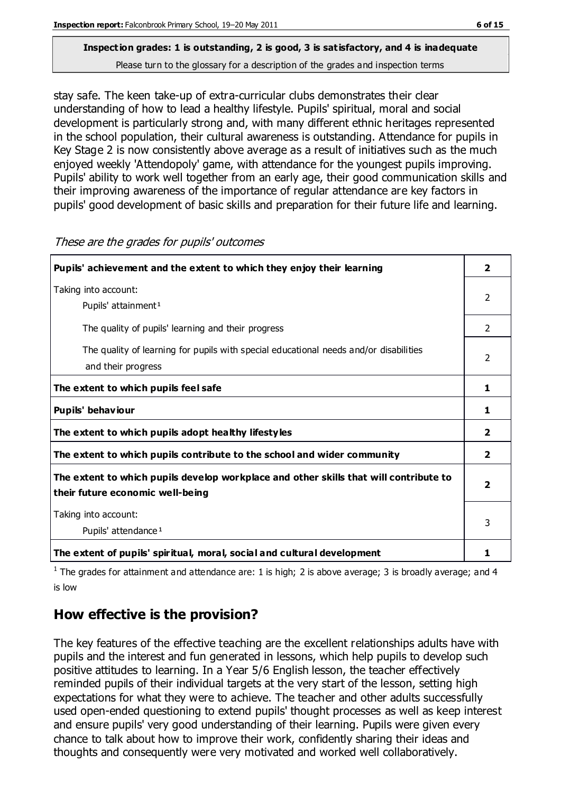# **Inspection grades: 1 is outstanding, 2 is good, 3 is satisfactory, and 4 is inadequate**

Please turn to the glossary for a description of the grades and inspection terms

stay safe. The keen take-up of extra-curricular clubs demonstrates their clear understanding of how to lead a healthy lifestyle. Pupils' spiritual, moral and social development is particularly strong and, with many different ethnic heritages represented in the school population, their cultural awareness is outstanding. Attendance for pupils in Key Stage 2 is now consistently above average as a result of initiatives such as the much enjoyed weekly 'Attendopoly' game, with attendance for the youngest pupils improving. Pupils' ability to work well together from an early age, their good communication skills and their improving awareness of the importance of regular attendance are key factors in pupils' good development of basic skills and preparation for their future life and learning.

| Pupils' achievement and the extent to which they enjoy their learning                                                     | 2                       |
|---------------------------------------------------------------------------------------------------------------------------|-------------------------|
| Taking into account:<br>Pupils' attainment <sup>1</sup>                                                                   | 2                       |
| The quality of pupils' learning and their progress                                                                        | $\mathcal{P}$           |
| The quality of learning for pupils with special educational needs and/or disabilities<br>and their progress               | $\mathcal{P}$           |
| The extent to which pupils feel safe                                                                                      | 1                       |
| Pupils' behaviour                                                                                                         | 1.                      |
| The extent to which pupils adopt healthy lifestyles                                                                       | $\overline{2}$          |
| The extent to which pupils contribute to the school and wider community                                                   | $\overline{2}$          |
| The extent to which pupils develop workplace and other skills that will contribute to<br>their future economic well-being | $\overline{\mathbf{2}}$ |
| Taking into account:<br>Pupils' attendance <sup>1</sup>                                                                   | 3                       |
| The extent of pupils' spiritual, moral, social and cultural development                                                   | 1                       |

These are the grades for pupils' outcomes

<sup>1</sup> The grades for attainment and attendance are: 1 is high; 2 is above average; 3 is broadly average; and 4 is low

# **How effective is the provision?**

The key features of the effective teaching are the excellent relationships adults have with pupils and the interest and fun generated in lessons, which help pupils to develop such positive attitudes to learning. In a Year 5/6 English lesson, the teacher effectively reminded pupils of their individual targets at the very start of the lesson, setting high expectations for what they were to achieve. The teacher and other adults successfully used open-ended questioning to extend pupils' thought processes as well as keep interest and ensure pupils' very good understanding of their learning. Pupils were given every chance to talk about how to improve their work, confidently sharing their ideas and thoughts and consequently were very motivated and worked well collaboratively.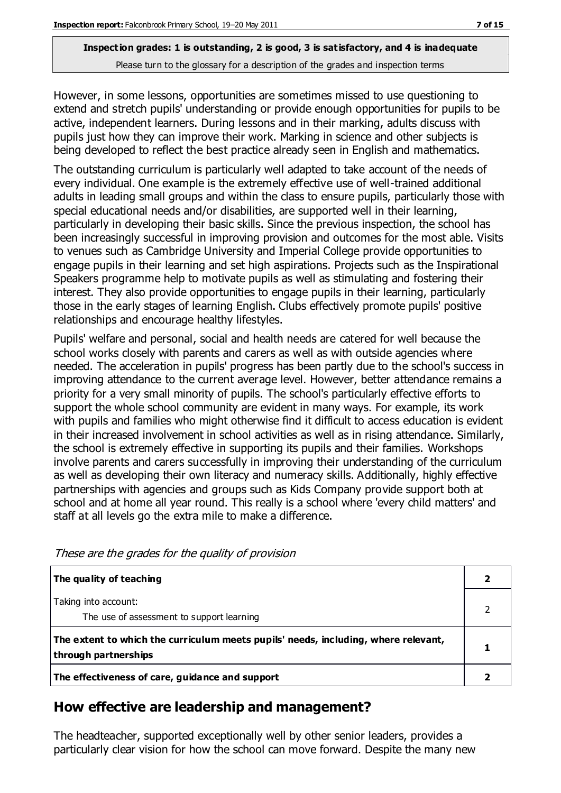However, in some lessons, opportunities are sometimes missed to use questioning to extend and stretch pupils' understanding or provide enough opportunities for pupils to be active, independent learners. During lessons and in their marking, adults discuss with pupils just how they can improve their work. Marking in science and other subjects is being developed to reflect the best practice already seen in English and mathematics.

The outstanding curriculum is particularly well adapted to take account of the needs of every individual. One example is the extremely effective use of well-trained additional adults in leading small groups and within the class to ensure pupils, particularly those with special educational needs and/or disabilities, are supported well in their learning, particularly in developing their basic skills. Since the previous inspection, the school has been increasingly successful in improving provision and outcomes for the most able. Visits to venues such as Cambridge University and Imperial College provide opportunities to engage pupils in their learning and set high aspirations. Projects such as the Inspirational Speakers programme help to motivate pupils as well as stimulating and fostering their interest. They also provide opportunities to engage pupils in their learning, particularly those in the early stages of learning English. Clubs effectively promote pupils' positive relationships and encourage healthy lifestyles.

Pupils' welfare and personal, social and health needs are catered for well because the school works closely with parents and carers as well as with outside agencies where needed. The acceleration in pupils' progress has been partly due to the school's success in improving attendance to the current average level. However, better attendance remains a priority for a very small minority of pupils. The school's particularly effective efforts to support the whole school community are evident in many ways. For example, its work with pupils and families who might otherwise find it difficult to access education is evident in their increased involvement in school activities as well as in rising attendance. Similarly, the school is extremely effective in supporting its pupils and their families. Workshops involve parents and carers successfully in improving their understanding of the curriculum as well as developing their own literacy and numeracy skills. Additionally, highly effective partnerships with agencies and groups such as Kids Company provide support both at school and at home all year round. This really is a school where 'every child matters' and staff at all levels go the extra mile to make a difference.

| The quality of teaching                                                                                    |  |
|------------------------------------------------------------------------------------------------------------|--|
| Taking into account:<br>The use of assessment to support learning                                          |  |
| The extent to which the curriculum meets pupils' needs, including, where relevant,<br>through partnerships |  |
| The effectiveness of care, guidance and support                                                            |  |

These are the grades for the quality of provision

# **How effective are leadership and management?**

The headteacher, supported exceptionally well by other senior leaders, provides a particularly clear vision for how the school can move forward. Despite the many new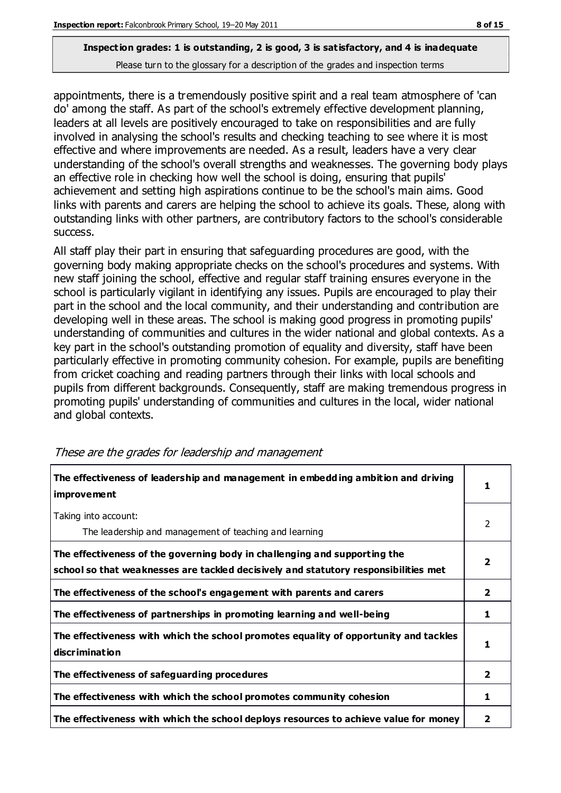appointments, there is a tremendously positive spirit and a real team atmosphere of 'can do' among the staff. As part of the school's extremely effective development planning, leaders at all levels are positively encouraged to take on responsibilities and are fully involved in analysing the school's results and checking teaching to see where it is most effective and where improvements are needed. As a result, leaders have a very clear understanding of the school's overall strengths and weaknesses. The governing body plays an effective role in checking how well the school is doing, ensuring that pupils' achievement and setting high aspirations continue to be the school's main aims. Good links with parents and carers are helping the school to achieve its goals. These, along with outstanding links with other partners, are contributory factors to the school's considerable success.

All staff play their part in ensuring that safeguarding procedures are good, with the governing body making appropriate checks on the school's procedures and systems. With new staff joining the school, effective and regular staff training ensures everyone in the school is particularly vigilant in identifying any issues. Pupils are encouraged to play their part in the school and the local community, and their understanding and contribution are developing well in these areas. The school is making good progress in promoting pupils' understanding of communities and cultures in the wider national and global contexts. As a key part in the school's outstanding promotion of equality and diversity, staff have been particularly effective in promoting community cohesion. For example, pupils are benefiting from cricket coaching and reading partners through their links with local schools and pupils from different backgrounds. Consequently, staff are making tremendous progress in promoting pupils' understanding of communities and cultures in the local, wider national and global contexts.

| The effectiveness of leadership and management in embedding ambition and driving<br><i>improvement</i>                                                           |              |
|------------------------------------------------------------------------------------------------------------------------------------------------------------------|--------------|
| Taking into account:<br>The leadership and management of teaching and learning                                                                                   | 2            |
| The effectiveness of the governing body in challenging and supporting the<br>school so that weaknesses are tackled decisively and statutory responsibilities met | 2            |
| The effectiveness of the school's engagement with parents and carers                                                                                             | $\mathbf{2}$ |
| The effectiveness of partnerships in promoting learning and well-being                                                                                           | 1            |
| The effectiveness with which the school promotes equality of opportunity and tackles<br>discrimination                                                           | 1            |
| The effectiveness of safeguarding procedures                                                                                                                     | $\mathbf{2}$ |
| The effectiveness with which the school promotes community cohesion                                                                                              | 1            |
| The effectiveness with which the school deploys resources to achieve value for money                                                                             | 2            |

#### These are the grades for leadership and management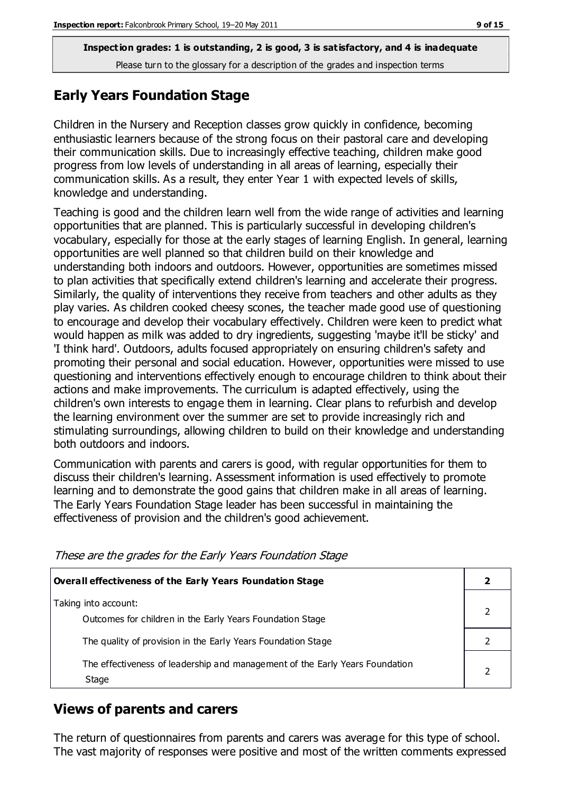# **Early Years Foundation Stage**

Children in the Nursery and Reception classes grow quickly in confidence, becoming enthusiastic learners because of the strong focus on their pastoral care and developing their communication skills. Due to increasingly effective teaching, children make good progress from low levels of understanding in all areas of learning, especially their communication skills. As a result, they enter Year 1 with expected levels of skills, knowledge and understanding.

Teaching is good and the children learn well from the wide range of activities and learning opportunities that are planned. This is particularly successful in developing children's vocabulary, especially for those at the early stages of learning English. In general, learning opportunities are well planned so that children build on their knowledge and understanding both indoors and outdoors. However, opportunities are sometimes missed to plan activities that specifically extend children's learning and accelerate their progress. Similarly, the quality of interventions they receive from teachers and other adults as they play varies. As children cooked cheesy scones, the teacher made good use of questioning to encourage and develop their vocabulary effectively. Children were keen to predict what would happen as milk was added to dry ingredients, suggesting 'maybe it'll be sticky' and 'I think hard'. Outdoors, adults focused appropriately on ensuring children's safety and promoting their personal and social education. However, opportunities were missed to use questioning and interventions effectively enough to encourage children to think about their actions and make improvements. The curriculum is adapted effectively, using the children's own interests to engage them in learning. Clear plans to refurbish and develop the learning environment over the summer are set to provide increasingly rich and stimulating surroundings, allowing children to build on their knowledge and understanding both outdoors and indoors.

Communication with parents and carers is good, with regular opportunities for them to discuss their children's learning. Assessment information is used effectively to promote learning and to demonstrate the good gains that children make in all areas of learning. The Early Years Foundation Stage leader has been successful in maintaining the effectiveness of provision and the children's good achievement.

| Overall effectiveness of the Early Years Foundation Stage                             |  |
|---------------------------------------------------------------------------------------|--|
| Taking into account:<br>Outcomes for children in the Early Years Foundation Stage     |  |
| The quality of provision in the Early Years Foundation Stage                          |  |
| The effectiveness of leadership and management of the Early Years Foundation<br>Stage |  |

These are the grades for the Early Years Foundation Stage

#### **Views of parents and carers**

The return of questionnaires from parents and carers was average for this type of school. The vast majority of responses were positive and most of the written comments expressed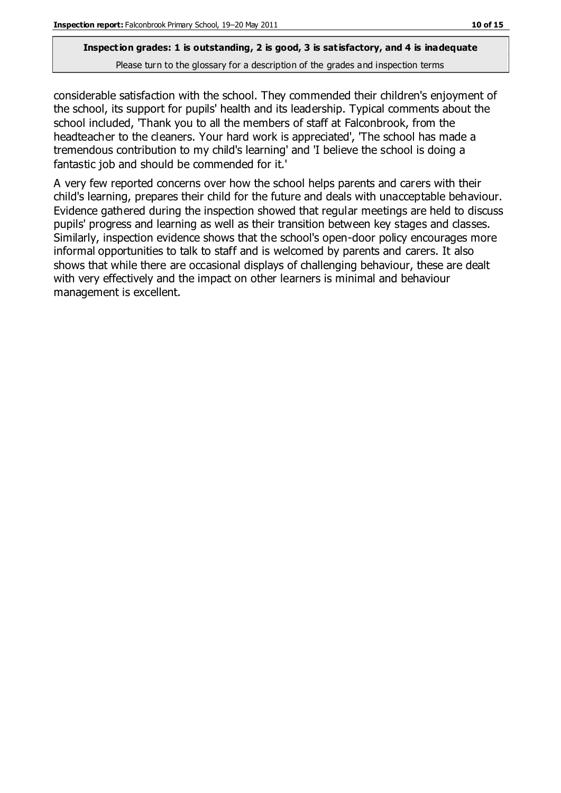considerable satisfaction with the school. They commended their children's enjoyment of the school, its support for pupils' health and its leadership. Typical comments about the school included, 'Thank you to all the members of staff at Falconbrook, from the headteacher to the cleaners. Your hard work is appreciated', 'The school has made a tremendous contribution to my child's learning' and 'I believe the school is doing a fantastic job and should be commended for it.'

A very few reported concerns over how the school helps parents and carers with their child's learning, prepares their child for the future and deals with unacceptable behaviour. Evidence gathered during the inspection showed that regular meetings are held to discuss pupils' progress and learning as well as their transition between key stages and classes. Similarly, inspection evidence shows that the school's open-door policy encourages more informal opportunities to talk to staff and is welcomed by parents and carers. It also shows that while there are occasional displays of challenging behaviour, these are dealt with very effectively and the impact on other learners is minimal and behaviour management is excellent.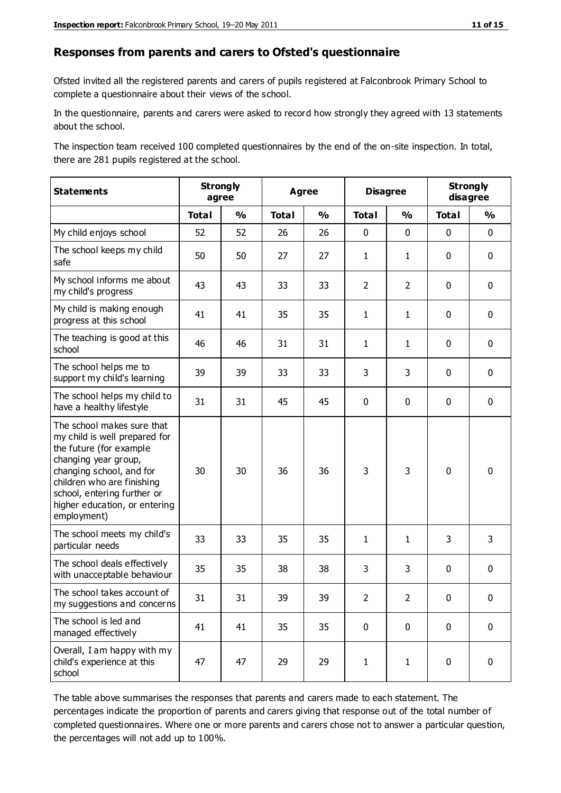#### **Responses from parents and carers to Ofsted's questionnaire**

Ofsted invited all the registered parents and carers of pupils registered at Falconbrook Primary School to complete a questionnaire about their views of the school.

In the questionnaire, parents and carers were asked to record how strongly they agreed with 13 statements about the school.

The inspection team received 100 completed questionnaires by the end of the on-site inspection. In total, there are 281 pupils registered at the school.

| <b>Statements</b>                                                                                                                                                                                                                                       | <b>Strongly</b><br>agree |               | <b>Agree</b> |               |                | <b>Disagree</b> |              | <b>Strongly</b><br>disagree |  |
|---------------------------------------------------------------------------------------------------------------------------------------------------------------------------------------------------------------------------------------------------------|--------------------------|---------------|--------------|---------------|----------------|-----------------|--------------|-----------------------------|--|
|                                                                                                                                                                                                                                                         | <b>Total</b>             | $\frac{1}{2}$ | <b>Total</b> | $\frac{1}{2}$ | <b>Total</b>   | $\frac{1}{2}$   | <b>Total</b> | $\frac{1}{2}$               |  |
| My child enjoys school                                                                                                                                                                                                                                  | 52                       | 52            | 26           | 26            | 0              | $\mathbf 0$     | $\mathbf 0$  | $\mathbf 0$                 |  |
| The school keeps my child<br>safe                                                                                                                                                                                                                       | 50                       | 50            | 27           | 27            | $\mathbf{1}$   | $\mathbf{1}$    | $\mathbf 0$  | $\mathbf 0$                 |  |
| My school informs me about<br>my child's progress                                                                                                                                                                                                       | 43                       | 43            | 33           | 33            | $\overline{2}$ | $\overline{2}$  | $\mathbf 0$  | $\mathbf 0$                 |  |
| My child is making enough<br>progress at this school                                                                                                                                                                                                    | 41                       | 41            | 35           | 35            | $\mathbf{1}$   | $\mathbf{1}$    | $\mathbf 0$  | $\mathbf 0$                 |  |
| The teaching is good at this<br>school                                                                                                                                                                                                                  | 46                       | 46            | 31           | 31            | $\mathbf{1}$   | $\mathbf{1}$    | $\mathbf 0$  | $\mathbf 0$                 |  |
| The school helps me to<br>support my child's learning                                                                                                                                                                                                   | 39                       | 39            | 33           | 33            | 3              | 3               | $\mathbf 0$  | $\mathbf 0$                 |  |
| The school helps my child to<br>have a healthy lifestyle                                                                                                                                                                                                | 31                       | 31            | 45           | 45            | 0              | $\mathbf 0$     | $\mathbf 0$  | $\mathbf 0$                 |  |
| The school makes sure that<br>my child is well prepared for<br>the future (for example<br>changing year group,<br>changing school, and for<br>children who are finishing<br>school, entering further or<br>higher education, or entering<br>employment) | 30                       | 30            | 36           | 36            | 3              | 3               | $\mathbf 0$  | $\mathbf 0$                 |  |
| The school meets my child's<br>particular needs                                                                                                                                                                                                         | 33                       | 33            | 35           | 35            | $\mathbf{1}$   | 1               | 3            | 3                           |  |
| The school deals effectively<br>with unacceptable behaviour                                                                                                                                                                                             | 35                       | 35            | 38           | 38            | 3              | 3               | $\mathbf 0$  | $\pmb{0}$                   |  |
| The school takes account of<br>my suggestions and concerns                                                                                                                                                                                              | 31                       | 31            | 39           | 39            | $\overline{2}$ | $\mathcal{P}$   | $\Omega$     | 0                           |  |
| The school is led and<br>managed effectively                                                                                                                                                                                                            | 41                       | 41            | 35           | 35            | $\mathbf 0$    | $\mathbf 0$     | $\mathbf 0$  | $\mathbf 0$                 |  |
| Overall, I am happy with my<br>child's experience at this<br>school                                                                                                                                                                                     | 47                       | 47            | 29           | 29            | $\mathbf{1}$   | $\mathbf{1}$    | $\mathbf 0$  | $\mathbf 0$                 |  |

The table above summarises the responses that parents and carers made to each statement. The percentages indicate the proportion of parents and carers giving that response out of the total number of completed questionnaires. Where one or more parents and carers chose not to answer a particular question, the percentages will not add up to 100%.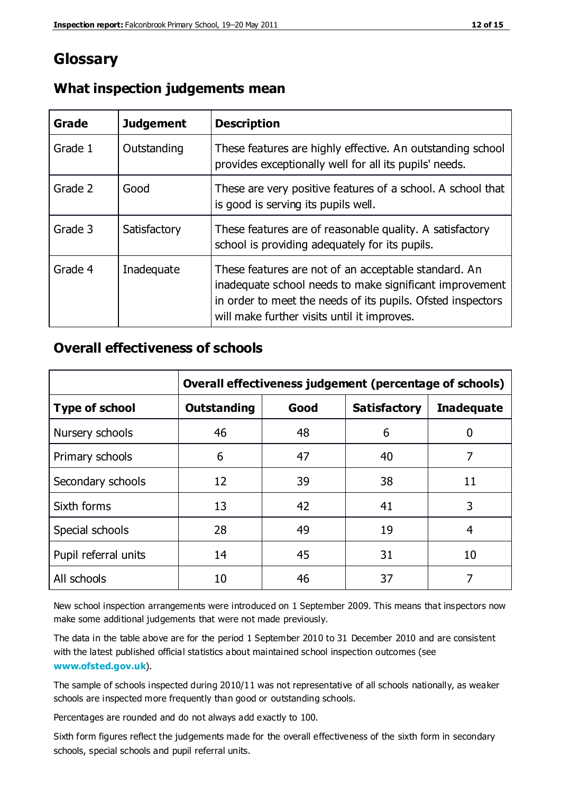# **Glossary**

| Grade   | <b>Judgement</b> | <b>Description</b>                                                                                                                                                                                                            |
|---------|------------------|-------------------------------------------------------------------------------------------------------------------------------------------------------------------------------------------------------------------------------|
| Grade 1 | Outstanding      | These features are highly effective. An outstanding school<br>provides exceptionally well for all its pupils' needs.                                                                                                          |
| Grade 2 | Good             | These are very positive features of a school. A school that<br>is good is serving its pupils well.                                                                                                                            |
| Grade 3 | Satisfactory     | These features are of reasonable quality. A satisfactory<br>school is providing adequately for its pupils.                                                                                                                    |
| Grade 4 | Inadequate       | These features are not of an acceptable standard. An<br>inadequate school needs to make significant improvement<br>in order to meet the needs of its pupils. Ofsted inspectors<br>will make further visits until it improves. |

### **What inspection judgements mean**

## **Overall effectiveness of schools**

|                       | Overall effectiveness judgement (percentage of schools) |      |                     |                   |
|-----------------------|---------------------------------------------------------|------|---------------------|-------------------|
| <b>Type of school</b> | <b>Outstanding</b>                                      | Good | <b>Satisfactory</b> | <b>Inadequate</b> |
| Nursery schools       | 46                                                      | 48   | 6                   |                   |
| Primary schools       | 6                                                       | 47   | 40                  | 7                 |
| Secondary schools     | 12                                                      | 39   | 38                  | 11                |
| Sixth forms           | 13                                                      | 42   | 41                  | 3                 |
| Special schools       | 28                                                      | 49   | 19                  | 4                 |
| Pupil referral units  | 14                                                      | 45   | 31                  | 10                |
| All schools           | 10                                                      | 46   | 37                  |                   |

New school inspection arrangements were introduced on 1 September 2009. This means that inspectors now make some additional judgements that were not made previously.

The data in the table above are for the period 1 September 2010 to 31 December 2010 and are consistent with the latest published official statistics about maintained school inspection outcomes (see **[www.ofsted.gov.uk](http://www.ofsted.gov.uk/)**).

The sample of schools inspected during 2010/11 was not representative of all schools nationally, as weaker schools are inspected more frequently than good or outstanding schools.

Percentages are rounded and do not always add exactly to 100.

Sixth form figures reflect the judgements made for the overall effectiveness of the sixth form in secondary schools, special schools and pupil referral units.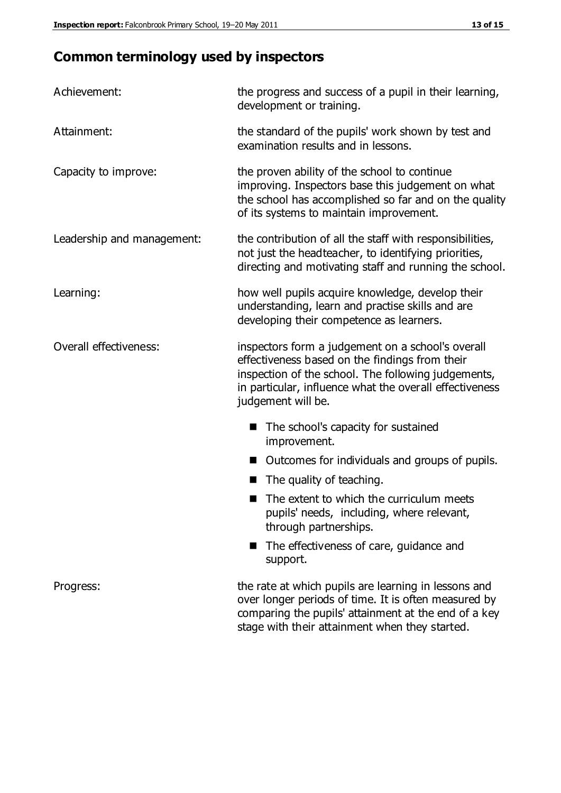# **Common terminology used by inspectors**

| Achievement:               | the progress and success of a pupil in their learning,<br>development or training.                                                                                                                                                          |  |  |
|----------------------------|---------------------------------------------------------------------------------------------------------------------------------------------------------------------------------------------------------------------------------------------|--|--|
| Attainment:                | the standard of the pupils' work shown by test and<br>examination results and in lessons.                                                                                                                                                   |  |  |
| Capacity to improve:       | the proven ability of the school to continue<br>improving. Inspectors base this judgement on what<br>the school has accomplished so far and on the quality<br>of its systems to maintain improvement.                                       |  |  |
| Leadership and management: | the contribution of all the staff with responsibilities,<br>not just the headteacher, to identifying priorities,<br>directing and motivating staff and running the school.                                                                  |  |  |
| Learning:                  | how well pupils acquire knowledge, develop their<br>understanding, learn and practise skills and are<br>developing their competence as learners.                                                                                            |  |  |
| Overall effectiveness:     | inspectors form a judgement on a school's overall<br>effectiveness based on the findings from their<br>inspection of the school. The following judgements,<br>in particular, influence what the overall effectiveness<br>judgement will be. |  |  |
|                            | The school's capacity for sustained<br>improvement.                                                                                                                                                                                         |  |  |
|                            | Outcomes for individuals and groups of pupils.                                                                                                                                                                                              |  |  |
|                            | The quality of teaching.                                                                                                                                                                                                                    |  |  |
|                            | The extent to which the curriculum meets<br>pupils' needs, including, where relevant,<br>through partnerships.                                                                                                                              |  |  |
|                            | The effectiveness of care, guidance and<br>support.                                                                                                                                                                                         |  |  |
| Progress:                  | the rate at which pupils are learning in lessons and<br>over longer periods of time. It is often measured by<br>comparing the pupils' attainment at the end of a key                                                                        |  |  |

stage with their attainment when they started.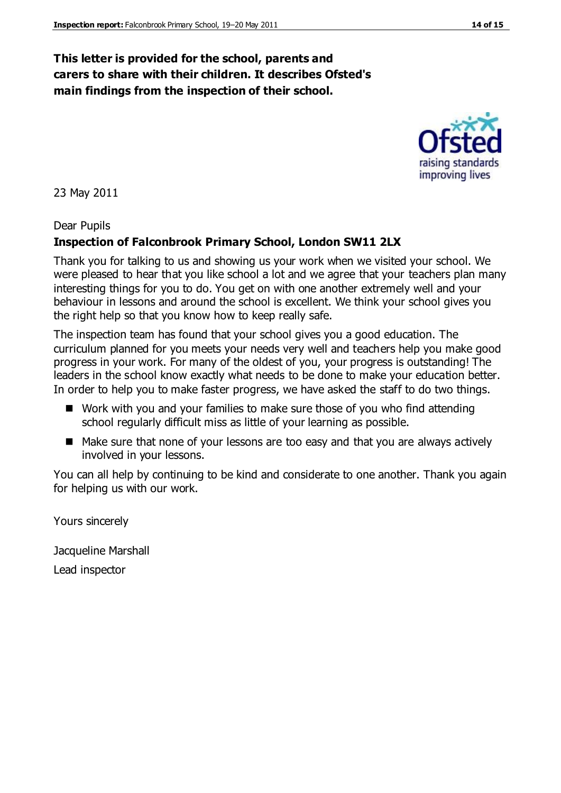### **This letter is provided for the school, parents and carers to share with their children. It describes Ofsted's main findings from the inspection of their school.**

23 May 2011

#### Dear Pupils

#### **Inspection of Falconbrook Primary School, London SW11 2LX**

Thank you for talking to us and showing us your work when we visited your school. We were pleased to hear that you like school a lot and we agree that your teachers plan many interesting things for you to do. You get on with one another extremely well and your behaviour in lessons and around the school is excellent. We think your school gives you the right help so that you know how to keep really safe.

The inspection team has found that your school gives you a good education. The curriculum planned for you meets your needs very well and teachers help you make good progress in your work. For many of the oldest of you, your progress is outstanding! The leaders in the school know exactly what needs to be done to make your education better. In order to help you to make faster progress, we have asked the staff to do two things.

- Work with you and your families to make sure those of you who find attending school regularly difficult miss as little of your learning as possible.
- Make sure that none of your lessons are too easy and that you are always actively involved in your lessons.

You can all help by continuing to be kind and considerate to one another. Thank you again for helping us with our work.

Yours sincerely

Jacqueline Marshall

Lead inspector